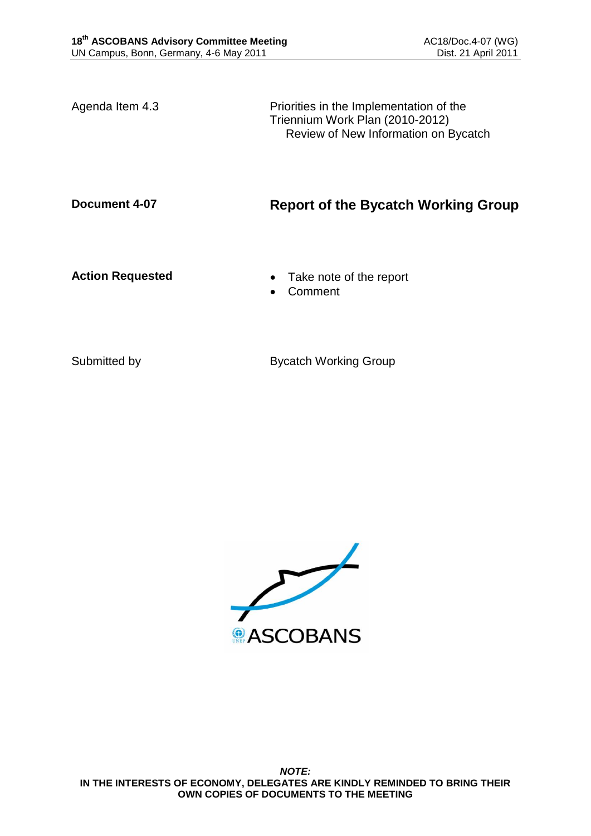Agenda Item 4.3 **Priorities** in the Implementation of the Triennium Work Plan (2010-2012) Review of New Information on Bycatch

## **Document 4-07 Report of the Bycatch Working Group**

- **Action Requested Take note of the report** 
	- Comment

Submitted by Bycatch Working Group

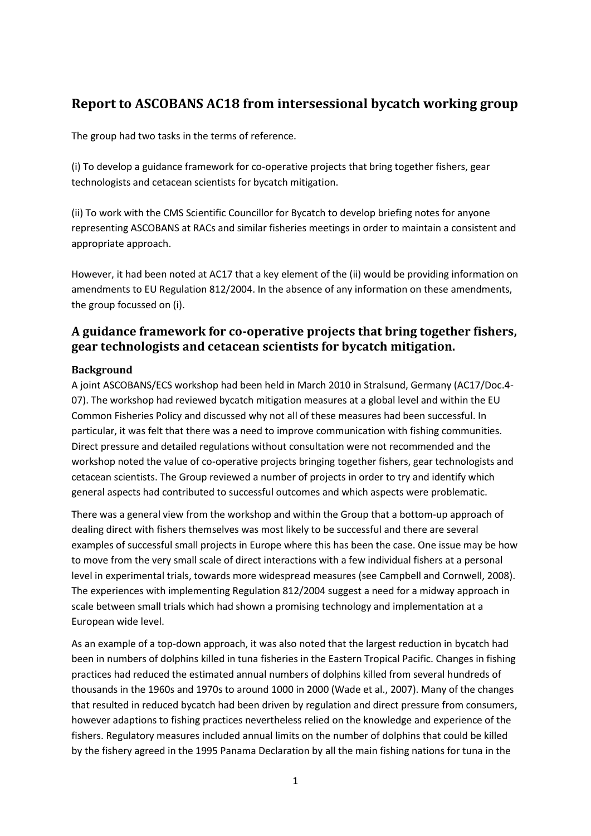## **Report to ASCOBANS AC18 from intersessional bycatch working group**

The group had two tasks in the terms of reference.

(i) To develop a guidance framework for co-operative projects that bring together fishers, gear technologists and cetacean scientists for bycatch mitigation.

(ii) To work with the CMS Scientific Councillor for Bycatch to develop briefing notes for anyone representing ASCOBANS at RACs and similar fisheries meetings in order to maintain a consistent and appropriate approach.

However, it had been noted at AC17 that a key element of the (ii) would be providing information on amendments to EU Regulation 812/2004. In the absence of any information on these amendments, the group focussed on (i).

## **A guidance framework for co-operative projects that bring together fishers, gear technologists and cetacean scientists for bycatch mitigation.**

#### **Background**

A joint ASCOBANS/ECS workshop had been held in March 2010 in Stralsund, Germany (AC17/Doc.4- 07). The workshop had reviewed bycatch mitigation measures at a global level and within the EU Common Fisheries Policy and discussed why not all of these measures had been successful. In particular, it was felt that there was a need to improve communication with fishing communities. Direct pressure and detailed regulations without consultation were not recommended and the workshop noted the value of co-operative projects bringing together fishers, gear technologists and cetacean scientists. The Group reviewed a number of projects in order to try and identify which general aspects had contributed to successful outcomes and which aspects were problematic.

There was a general view from the workshop and within the Group that a bottom-up approach of dealing direct with fishers themselves was most likely to be successful and there are several examples of successful small projects in Europe where this has been the case. One issue may be how to move from the very small scale of direct interactions with a few individual fishers at a personal level in experimental trials, towards more widespread measures (see Campbell and Cornwell, 2008). The experiences with implementing Regulation 812/2004 suggest a need for a midway approach in scale between small trials which had shown a promising technology and implementation at a European wide level.

As an example of a top-down approach, it was also noted that the largest reduction in bycatch had been in numbers of dolphins killed in tuna fisheries in the Eastern Tropical Pacific. Changes in fishing practices had reduced the estimated annual numbers of dolphins killed from several hundreds of thousands in the 1960s and 1970s to around 1000 in 2000 (Wade et al., 2007). Many of the changes that resulted in reduced bycatch had been driven by regulation and direct pressure from consumers, however adaptions to fishing practices nevertheless relied on the knowledge and experience of the fishers. Regulatory measures included annual limits on the number of dolphins that could be killed by the fishery agreed in the 1995 Panama Declaration by all the main fishing nations for tuna in the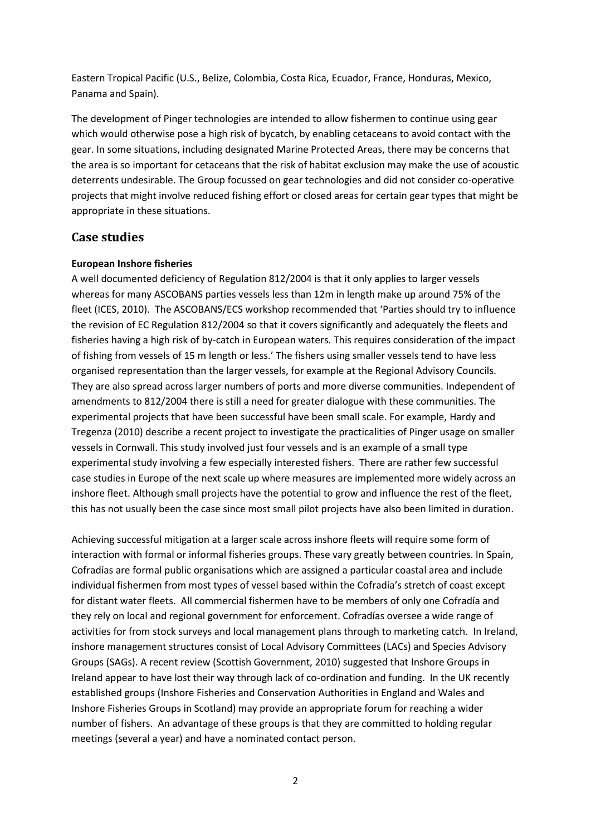Eastern Tropical Pacific (U.S., Belize, Colombia, Costa Rica, Ecuador, France, Honduras, Mexico, Panama and Spain).

The development of Pinger technologies are intended to allow fishermen to continue using gear which would otherwise pose a high risk of bycatch, by enabling cetaceans to avoid contact with the gear. In some situations, including designated Marine Protected Areas, there may be concerns that the area is so important for cetaceans that the risk of habitat exclusion may make the use of acoustic deterrents undesirable. The Group focussed on gear technologies and did not consider co-operative projects that might involve reduced fishing effort or closed areas for certain gear types that might be appropriate in these situations.

#### **Case studies**

#### **European Inshore fisheries**

A well documented deficiency of Regulation 812/2004 is that it only applies to larger vessels whereas for many ASCOBANS parties vessels less than 12m in length make up around 75% of the fleet (ICES, 2010). The ASCOBANS/ECS workshop recommended that 'Parties should try to influence the revision of EC Regulation 812/2004 so that it covers significantly and adequately the fleets and fisheries having a high risk of by-catch in European waters. This requires consideration of the impact of fishing from vessels of 15 m length or less.' The fishers using smaller vessels tend to have less organised representation than the larger vessels, for example at the Regional Advisory Councils. They are also spread across larger numbers of ports and more diverse communities. Independent of amendments to 812/2004 there is still a need for greater dialogue with these communities. The experimental projects that have been successful have been small scale. For example, Hardy and Tregenza (2010) describe a recent project to investigate the practicalities of Pinger usage on smaller vessels in Cornwall. This study involved just four vessels and is an example of a small type experimental study involving a few especially interested fishers. There are rather few successful case studies in Europe of the next scale up where measures are implemented more widely across an inshore fleet. Although small projects have the potential to grow and influence the rest of the fleet, this has not usually been the case since most small pilot projects have also been limited in duration.

Achieving successful mitigation at a larger scale across inshore fleets will require some form of interaction with formal or informal fisheries groups. These vary greatly between countries. In Spain, Cofradías are formal public organisations which are assigned a particular coastal area and include individual fishermen from most types of vessel based within the Cofradía's stretch of coast except for distant water fleets. All commercial fishermen have to be members of only one Cofradía and they rely on local and regional government for enforcement. Cofradías oversee a wide range of activities for from stock surveys and local management plans through to marketing catch. In Ireland, inshore management structures consist of Local Advisory Committees (LACs) and Species Advisory Groups (SAGs). A recent review (Scottish Government, 2010) suggested that Inshore Groups in Ireland appear to have lost their way through lack of co-ordination and funding. In the UK recently established groups (Inshore Fisheries and Conservation Authorities in England and Wales and Inshore Fisheries Groups in Scotland) may provide an appropriate forum for reaching a wider number of fishers. An advantage of these groups is that they are committed to holding regular meetings (several a year) and have a nominated contact person.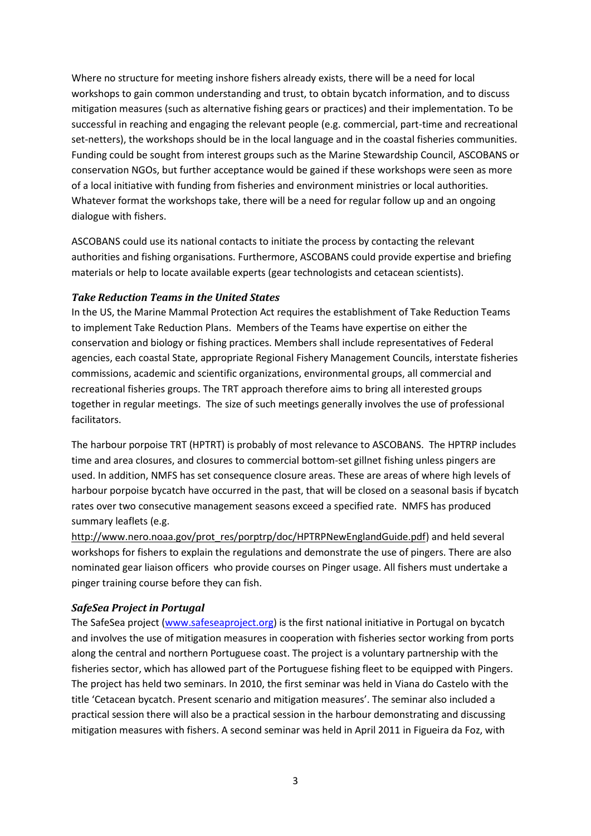Where no structure for meeting inshore fishers already exists, there will be a need for local workshops to gain common understanding and trust, to obtain bycatch information, and to discuss mitigation measures (such as alternative fishing gears or practices) and their implementation. To be successful in reaching and engaging the relevant people (e.g. commercial, part-time and recreational set-netters), the workshops should be in the local language and in the coastal fisheries communities. Funding could be sought from interest groups such as the Marine Stewardship Council, ASCOBANS or conservation NGOs, but further acceptance would be gained if these workshops were seen as more of a local initiative with funding from fisheries and environment ministries or local authorities. Whatever format the workshops take, there will be a need for regular follow up and an ongoing dialogue with fishers.

ASCOBANS could use its national contacts to initiate the process by contacting the relevant authorities and fishing organisations. Furthermore, ASCOBANS could provide expertise and briefing materials or help to locate available experts (gear technologists and cetacean scientists).

#### *Take Reduction Teams in the United States*

In the US, the Marine Mammal Protection Act requires the establishment of Take Reduction Teams to implement Take Reduction Plans. Members of the Teams have expertise on either the conservation and biology or fishing practices. Members shall include representatives of Federal agencies, each coastal State, appropriate Regional Fishery Management Councils, interstate fisheries commissions, academic and scientific organizations, environmental groups, all commercial and recreational fisheries groups. The TRT approach therefore aims to bring all interested groups together in regular meetings. The size of such meetings generally involves the use of professional facilitators.

The harbour porpoise TRT (HPTRT) is probably of most relevance to ASCOBANS. The HPTRP includes time and area closures, and closures to commercial bottom-set gillnet fishing unless pingers are used. In addition, NMFS has set consequence closure areas. These are areas of where high levels of harbour porpoise bycatch have occurred in the past, that will be closed on a seasonal basis if bycatch rates over two consecutive management seasons exceed a specified rate. NMFS has produced summary leaflets (e.g.

[http://www.nero.noaa.gov/prot\\_res/porptrp/doc/HPTRPNewEnglandGuide.pdf\)](http://www.nero.noaa.gov/prot_res/porptrp/doc/HPTRPNewEnglandGuide.pdf) and held several workshops for fishers to explain the regulations and demonstrate the use of pingers. There are also nominated gear liaison officers who provide courses on Pinger usage. All fishers must undertake a pinger training course before they can fish.

#### *SafeSea Project in Portugal*

The SafeSea project [\(www.safeseaproject.org\)](http://www.safeseaproject.org/) is the first national initiative in Portugal on bycatch and involves the use of mitigation measures in cooperation with fisheries sector working from ports along the central and northern Portuguese coast. The project is a voluntary partnership with the fisheries sector, which has allowed part of the Portuguese fishing fleet to be equipped with Pingers. The project has held two seminars. In 2010, the first seminar was held in Viana do Castelo with the title 'Cetacean bycatch. Present scenario and mitigation measures'. The seminar also included a practical session there will also be a practical session in the harbour demonstrating and discussing mitigation measures with fishers. A second seminar was held in April 2011 in Figueira da Foz, with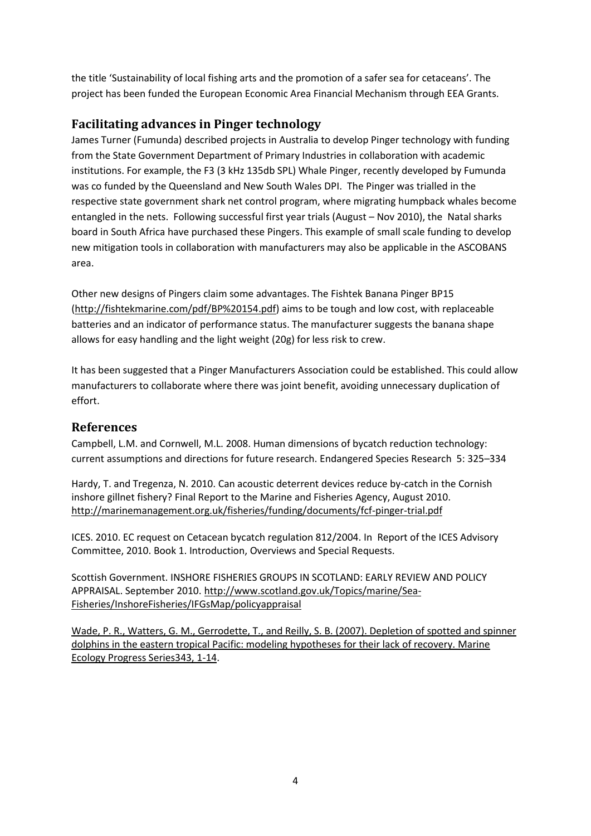the title 'Sustainability of local fishing arts and the promotion of a safer sea for cetaceans'. The project has been funded the European Economic Area Financial Mechanism through EEA Grants.

## **Facilitating advances in Pinger technology**

James Turner (Fumunda) described projects in Australia to develop Pinger technology with funding from the State Government Department of Primary Industries in collaboration with academic institutions. For example, the F3 (3 kHz 135db SPL) Whale Pinger, recently developed by Fumunda was co funded by the Queensland and New South Wales DPI. The Pinger was trialled in the respective state government shark net control program, where migrating humpback whales become entangled in the nets. Following successful first year trials (August – Nov 2010), the Natal sharks board in South Africa have purchased these Pingers. This example of small scale funding to develop new mitigation tools in collaboration with manufacturers may also be applicable in the ASCOBANS area.

Other new designs of Pingers claim some advantages. The Fishtek Banana Pinger BP15 [\(http://fishtekmarine.com/pdf/BP%20154.pdf\)](http://fishtekmarine.com/pdf/BP%20154.pdf) aims to be tough and low cost, with replaceable batteries and an indicator of performance status. The manufacturer suggests the banana shape allows for easy handling and the light weight (20g) for less risk to crew.

It has been suggested that a Pinger Manufacturers Association could be established. This could allow manufacturers to collaborate where there was joint benefit, avoiding unnecessary duplication of effort.

### **References**

Campbell, L.M. and Cornwell, M.L. 2008. Human dimensions of bycatch reduction technology: current assumptions and directions for future research. Endangered Species Research 5: 325–334

Hardy, T. and Tregenza, N. 2010. Can acoustic deterrent devices reduce by-catch in the Cornish inshore gillnet fishery? Final Report to the Marine and Fisheries Agency, August 2010. <http://marinemanagement.org.uk/fisheries/funding/documents/fcf-pinger-trial.pdf>

ICES. 2010. EC request on Cetacean bycatch regulation 812/2004. In Report of the ICES Advisory Committee, 2010. Book 1. Introduction, Overviews and Special Requests.

Scottish Government. INSHORE FISHERIES GROUPS IN SCOTLAND: EARLY REVIEW AND POLICY APPRAISAL. September 2010[. http://www.scotland.gov.uk/Topics/marine/Sea-](http://www.scotland.gov.uk/Topics/marine/Sea-Fisheries/InshoreFisheries/IFGsMap/policyappraisal)[Fisheries/InshoreFisheries/IFGsMap/policyappraisal](http://www.scotland.gov.uk/Topics/marine/Sea-Fisheries/InshoreFisheries/IFGsMap/policyappraisal)

[Wade, P. R., Watters, G. M., Gerrodette, T., and Reilly, S. B. \(2007\). Depletion of spotted and spinner](http://www.int-res.com/articles/feature/m343p001.pdf)  [dolphins in the eastern tropical Pacific: modeling hypotheses for their lack of recovery.](http://www.int-res.com/articles/feature/m343p001.pdf) Marine [Ecology Progress Series343,](http://www.int-res.com/articles/feature/m343p001.pdf) 1-14.